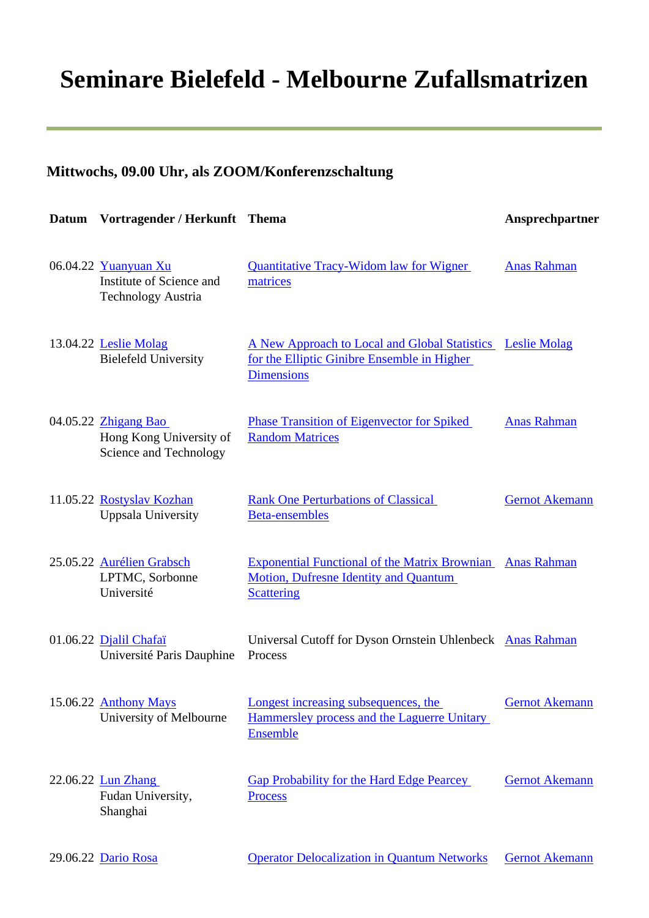## **Seminare Bielefeld - Melbourne Zufallsmatrizen**

## **Mittwochs, 09.00 Uhr, als ZOOM/Konferenzschaltung**

| <b>Datum</b> | Vortragender / Herkunft Thema                                             |                                                                                                                                | Ansprechpartner       |
|--------------|---------------------------------------------------------------------------|--------------------------------------------------------------------------------------------------------------------------------|-----------------------|
|              | 06.04.22 Yuanyuan Xu<br>Institute of Science and<br>Technology Austria    | <b>Quantitative Tracy-Widom law for Wigner</b><br>matrices                                                                     | <b>Anas Rahman</b>    |
|              | 13.04.22 Leslie Molag<br><b>Bielefeld University</b>                      | A New Approach to Local and Global Statistics Leslie Molag<br>for the Elliptic Ginibre Ensemble in Higher<br><b>Dimensions</b> |                       |
|              | 04.05.22 Zhigang Bao<br>Hong Kong University of<br>Science and Technology | <b>Phase Transition of Eigenvector for Spiked</b><br><b>Random Matrices</b>                                                    | <b>Anas Rahman</b>    |
|              | 11.05.22 Rostyslav Kozhan<br><b>Uppsala University</b>                    | <b>Rank One Perturbations of Classical</b><br><b>Beta-ensembles</b>                                                            | <b>Gernot Akemann</b> |
|              | 25.05.22 Aurélien Grabsch<br>LPTMC, Sorbonne<br>Université                | <b>Exponential Functional of the Matrix Brownian</b><br><b>Motion, Dufresne Identity and Quantum</b><br><b>Scattering</b>      | <b>Anas Rahman</b>    |
|              | 01.06.22 Djalil Chafaï<br>Université Paris Dauphine                       | Universal Cutoff for Dyson Ornstein Uhlenbeck Anas Rahman<br>Process                                                           |                       |
|              | 15.06.22 Anthony Mays<br>University of Melbourne                          | Longest increasing subsequences, the<br>Hammersley process and the Laguerre Unitary<br>Ensemble                                | <b>Gernot Akemann</b> |
|              | 22.06.22 <b>Lun Zhang</b><br>Fudan University,<br>Shanghai                | <b>Gap Probability for the Hard Edge Pearcey</b><br><b>Process</b>                                                             | <b>Gernot Akemann</b> |
|              | 29.06.22 Dario Rosa                                                       | <b>Operator Delocalization in Quantum Networks</b>                                                                             | <b>Gernot Akemann</b> |